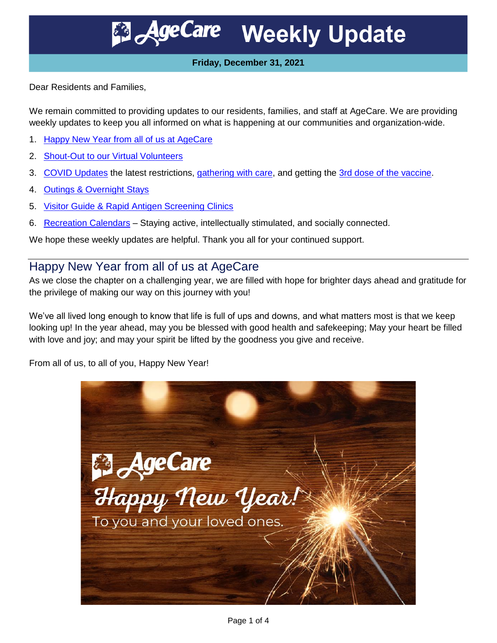**AgeCare Weekly Update** 

#### **Friday, December 31, 2021**

Dear Residents and Families,

We remain committed to providing updates to our residents, families, and staff at AgeCare. We are providing weekly updates to keep you all informed on what is happening at our communities and organization-wide.

- 1. [Happy New Year from all of us at AgeCare](#page-0-0)
- 2. [Shout-Out to our Virtual Volunteers](#page-1-0)
- 3. [COVID Updates](#page-2-0) the latest restrictions, [gathering with care,](#page-2-1) and getting the [3rd dose of the vaccine.](#page-2-2)
- 4. [Outings & Overnight Stays](#page-2-3)
- 5. [Visitor Guide & Rapid Antigen Screening Clinics](#page-3-0)
- 6. [Recreation Calendars](#page-3-1) Staying active, intellectually stimulated, and socially connected.

We hope these weekly updates are helpful. Thank you all for your continued support.

# <span id="page-0-0"></span>Happy New Year from all of us at AgeCare

As we close the chapter on a challenging year, we are filled with hope for brighter days ahead and gratitude for the privilege of making our way on this journey with you!

We've all lived long enough to know that life is full of ups and downs, and what matters most is that we keep looking up! In the year ahead, may you be blessed with good health and safekeeping; May your heart be filled with love and joy; and may your spirit be lifted by the goodness you give and receive.

From all of us, to all of you, Happy New Year!

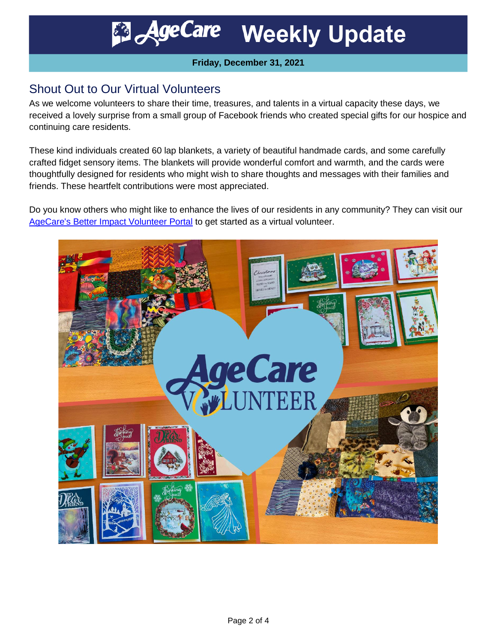**Weekly Update AgeCare** 

#### **Friday, December 31, 2021**

## <span id="page-1-0"></span>Shout Out to Our Virtual Volunteers

As we welcome volunteers to share their time, treasures, and talents in a virtual capacity these days, we received a lovely surprise from a small group of Facebook friends who created special gifts for our hospice and continuing care residents.

These kind individuals created 60 lap blankets, a variety of beautiful handmade cards, and some carefully crafted fidget sensory items. The blankets will provide wonderful comfort and warmth, and the cards were thoughtfully designed for residents who might wish to share thoughts and messages with their families and friends. These heartfelt contributions were most appreciated.

Do you know others who might like to enhance the lives of our residents in any community? They can visit our [AgeCare's Better Impact Volunteer Portal](https://app.betterimpact.com/Application?OrganizationGuid=ed282d6f-02c1-4e77-b848-551f2632baa4&ApplicationFormNumber=2) to get started as a virtual volunteer.

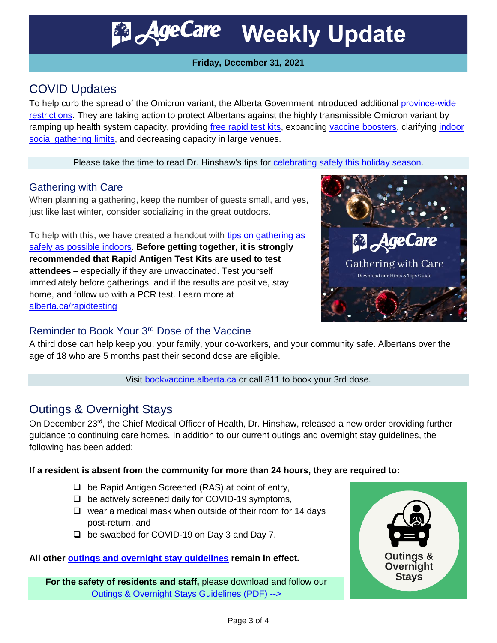**B** AgeCare Weekly Update

### **Friday, December 31, 2021**

# <span id="page-2-0"></span>COVID Updates

To help curb the spread of the Omicron variant, the Alberta Government introduced additional [province-wide](https://www.alberta.ca/covid-19-public-health-actions.aspx) [restrictions.](https://www.alberta.ca/covid-19-public-health-actions.aspx) They are taking action to protect Albertans against the highly transmissible Omicron variant by ramping up health system capacity, providing [free rapid test kits,](https://www.alberta.ca/rapid-testing-at-home.aspx) expanding [vaccine boosters,](https://www.alberta.ca/covid19-vaccine.aspx#third) clarifying [indoor](https://www.alberta.ca/covid-19-public-health-actions.aspx?utm_source=google&utm_medium=sem&utm_campaign=Covid19&utm_term=ongoing&utm_content=protected&gclid=CjwKCAiAtouOBhA6EiwA2nLKH7ehlOyegNAj-0uFABEHe_z_Ef0BkQNSxMUQ8DWdPke1yZ25EU2F6BoCz7AQAvD_BwE#gatherings)  [social gathering limits,](https://www.alberta.ca/covid-19-public-health-actions.aspx?utm_source=google&utm_medium=sem&utm_campaign=Covid19&utm_term=ongoing&utm_content=protected&gclid=CjwKCAiAtouOBhA6EiwA2nLKH7ehlOyegNAj-0uFABEHe_z_Ef0BkQNSxMUQ8DWdPke1yZ25EU2F6BoCz7AQAvD_BwE#gatherings) and decreasing capacity in large venues.

Please take the time to read Dr. Hinshaw's tips for **celebrating safely this holiday season**.

### <span id="page-2-1"></span>Gathering with Care

When planning a gathering, keep the number of guests small, and yes, just like last winter, consider socializing in the great outdoors.

To help with this, we have created a handout with [tips on gathering as](https://agecare.box.com/v/gathering-with-care)  [safely as possible indoors.](https://agecare.box.com/v/gathering-with-care) **Before getting together, it is strongly recommended that Rapid Antigen Test Kits are used to test attendees** – especially if they are unvaccinated. Test yourself immediately before gatherings, and if the results are positive, stay home, and follow up with a PCR test. Learn more at [alberta.ca/rapidtesting](https://www.alberta.ca/rapidtesting)



### <span id="page-2-2"></span>Reminder to Book Your 3rd Dose of the Vaccine

A third dose can help keep you, your family, your co-workers, and your community safe. Albertans over the age of 18 who are 5 months past their second dose are eligible.

Visit [bookvaccine.alberta.ca](https://bookvaccine.alberta.ca/) or call 811 to book your 3rd dose.

## <span id="page-2-3"></span>Outings & Overnight Stays

On December 23<sup>rd</sup>, the Chief Medical Officer of Health, Dr. Hinshaw, released a new order providing further guidance to continuing care homes. In addition to our current outings and overnight stay guidelines, the following has been added:

#### **If a resident is absent from the community for more than 24 hours, they are required to:**

- $\Box$  be Rapid Antigen Screened (RAS) at point of entry,
- $\Box$  be actively screened daily for COVID-19 symptoms,
- $\Box$  wear a medical mask when outside of their room for 14 days post-return, and
- □ be swabbed for COVID-19 on Day 3 and Day 7.

#### **All other [outings and overnight stay guidelines](https://agecare.app.box.com/v/AB-Outings-Guide) remain in effect.**

**For the safety of residents and staff,** please download and follow our [Outings & Overnight Stays Guidelines \(PDF\) -->](https://agecare.app.box.com/v/AB-Outings-Guide)